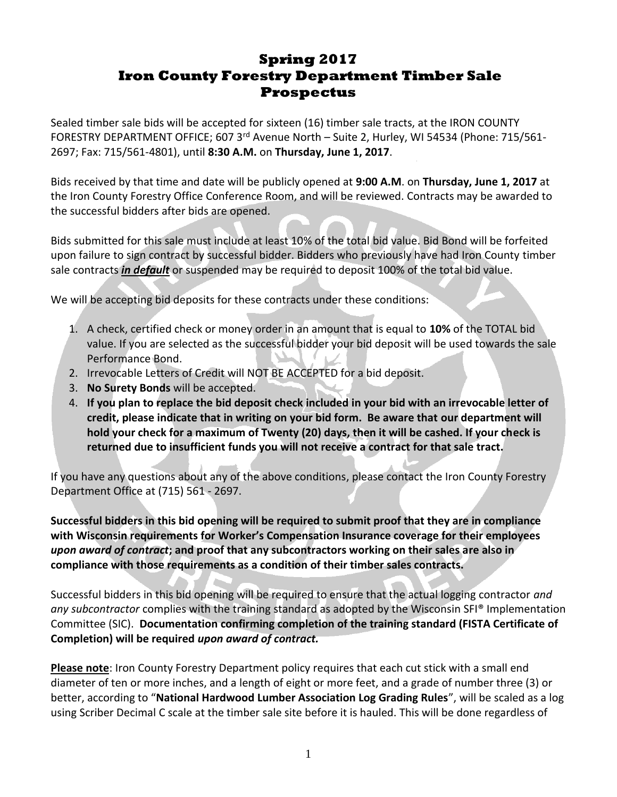# **Spring 2017 Iron County Forestry Department Timber Sale Prospectus**

Sealed timber sale bids will be accepted for sixteen (16) timber sale tracts, at the IRON COUNTY FORESTRY DEPARTMENT OFFICE; 607 3rd Avenue North - Suite 2, Hurley, WI 54534 (Phone: 715/561-2697; Fax: 715/561-4801), until **8:30 A.M.** on **Thursday, June 1, 2017**.

Bids received by that time and date will be publicly opened at **9:00 A.M**. on **Thursday, June 1, 2017** at the Iron County Forestry Office Conference Room, and will be reviewed. Contracts may be awarded to the successful bidders after bids are opened.

Bids submitted for this sale must include at least 10% of the total bid value. Bid Bond will be forfeited upon failure to sign contract by successful bidder. Bidders who previously have had Iron County timber sale contracts *in default* or suspended may be required to deposit 100% of the total bid value.

We will be accepting bid deposits for these contracts under these conditions:

- 1. A check, certified check or money order in an amount that is equal to **10%** of the TOTAL bid value. If you are selected as the successful bidder your bid deposit will be used towards the sale Performance Bond.
- 2. Irrevocable Letters of Credit will NOT BE ACCEPTED for a bid deposit.
- 3. **No Surety Bonds** will be accepted.
- 4. **If you plan to replace the bid deposit check included in your bid with an irrevocable letter of credit, please indicate that in writing on your bid form. Be aware that our department will hold your check for a maximum of Twenty (20) days, then it will be cashed. If your check is returned due to insufficient funds you will not receive a contract for that sale tract.**

If you have any questions about any of the above conditions, please contact the Iron County Forestry Department Office at (715) 561 - 2697.

**Successful bidders in this bid opening will be required to submit proof that they are in compliance with Wisconsin requirements for Worker's Compensation Insurance coverage for their employees**  *upon award of contract***; and proof that any subcontractors working on their sales are also in compliance with those requirements as a condition of their timber sales contracts.** 

Successful bidders in this bid opening will be required to ensure that the actual logging contractor *and any subcontractor* complies with the training standard as adopted by the Wisconsin SFI® Implementation Committee (SIC). **Documentation confirming completion of the training standard (FISTA Certificate of Completion) will be required** *upon award of contract.*

**Please note**: Iron County Forestry Department policy requires that each cut stick with a small end diameter of ten or more inches, and a length of eight or more feet, and a grade of number three (3) or better, according to "**National Hardwood Lumber Association Log Grading Rules**", will be scaled as a log using Scriber Decimal C scale at the timber sale site before it is hauled. This will be done regardless of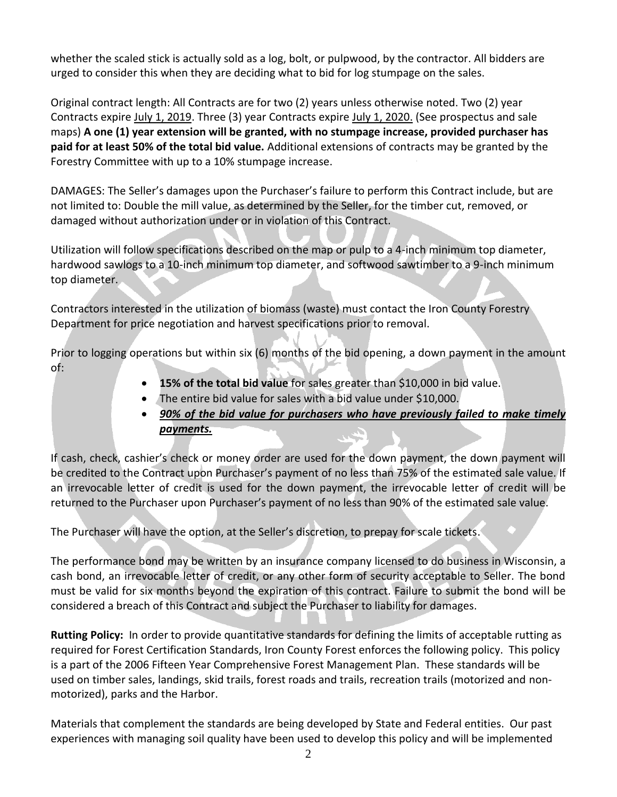whether the scaled stick is actually sold as a log, bolt, or pulpwood, by the contractor. All bidders are urged to consider this when they are deciding what to bid for log stumpage on the sales.

Original contract length: All Contracts are for two (2) years unless otherwise noted. Two (2) year Contracts expire July 1, 2019. Three (3) year Contracts expire July 1, 2020. (See prospectus and sale maps) **A one (1) year extension will be granted, with no stumpage increase, provided purchaser has paid for at least 50% of the total bid value.** Additional extensions of contracts may be granted by the Forestry Committee with up to a 10% stumpage increase.

DAMAGES: The Seller's damages upon the Purchaser's failure to perform this Contract include, but are not limited to: Double the mill value, as determined by the Seller, for the timber cut, removed, or damaged without authorization under or in violation of this Contract.

Utilization will follow specifications described on the map or pulp to a 4-inch minimum top diameter, hardwood sawlogs to a 10-inch minimum top diameter, and softwood sawtimber to a 9-inch minimum top diameter.

Contractors interested in the utilization of biomass (waste) must contact the Iron County Forestry Department for price negotiation and harvest specifications prior to removal.

Prior to logging operations but within six (6) months of the bid opening, a down payment in the amount of:

- **15% of the total bid value** for sales greater than \$10,000 in bid value.
- The entire bid value for sales with a bid value under \$10,000.
- *90% of the bid value for purchasers who have previously failed to make timely payments.*

If cash, check, cashier's check or money order are used for the down payment, the down payment will be credited to the Contract upon Purchaser's payment of no less than 75% of the estimated sale value. If an irrevocable letter of credit is used for the down payment, the irrevocable letter of credit will be returned to the Purchaser upon Purchaser's payment of no less than 90% of the estimated sale value.

The Purchaser will have the option, at the Seller's discretion, to prepay for scale tickets.

The performance bond may be written by an insurance company licensed to do business in Wisconsin, a cash bond, an irrevocable letter of credit, or any other form of security acceptable to Seller. The bond must be valid for six months beyond the expiration of this contract. Failure to submit the bond will be considered a breach of this Contract and subject the Purchaser to liability for damages.

**Rutting Policy:** In order to provide quantitative standards for defining the limits of acceptable rutting as required for Forest Certification Standards, Iron County Forest enforces the following policy. This policy is a part of the 2006 Fifteen Year Comprehensive Forest Management Plan. These standards will be used on timber sales, landings, skid trails, forest roads and trails, recreation trails (motorized and nonmotorized), parks and the Harbor.

Materials that complement the standards are being developed by State and Federal entities. Our past experiences with managing soil quality have been used to develop this policy and will be implemented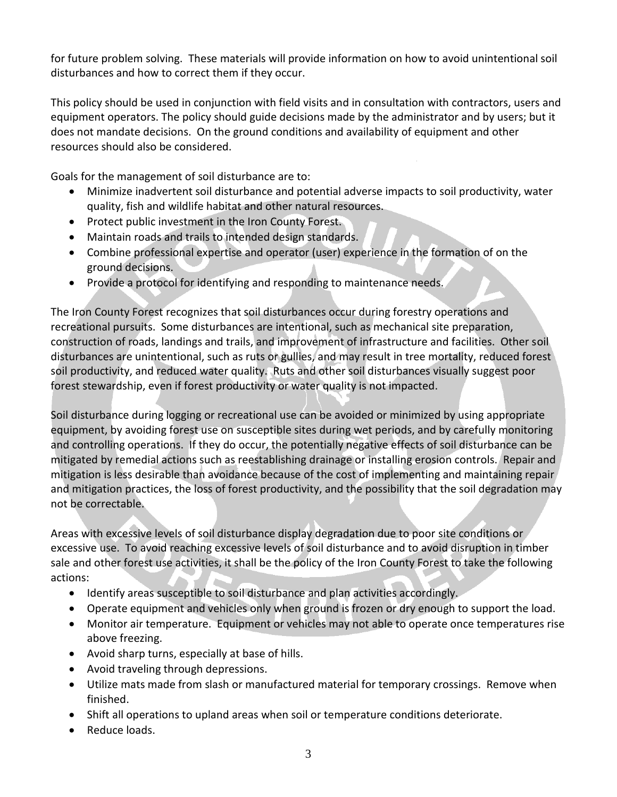for future problem solving. These materials will provide information on how to avoid unintentional soil disturbances and how to correct them if they occur.

This policy should be used in conjunction with field visits and in consultation with contractors, users and equipment operators. The policy should guide decisions made by the administrator and by users; but it does not mandate decisions. On the ground conditions and availability of equipment and other resources should also be considered.

Goals for the management of soil disturbance are to:

- Minimize inadvertent soil disturbance and potential adverse impacts to soil productivity, water quality, fish and wildlife habitat and other natural resources.
- Protect public investment in the Iron County Forest.
- Maintain roads and trails to intended design standards.
- Combine professional expertise and operator (user) experience in the formation of on the ground decisions.
- Provide a protocol for identifying and responding to maintenance needs.

The Iron County Forest recognizes that soil disturbances occur during forestry operations and recreational pursuits. Some disturbances are intentional, such as mechanical site preparation, construction of roads, landings and trails, and improvement of infrastructure and facilities. Other soil disturbances are unintentional, such as ruts or gullies, and may result in tree mortality, reduced forest soil productivity, and reduced water quality. Ruts and other soil disturbances visually suggest poor forest stewardship, even if forest productivity or water quality is not impacted.

Soil disturbance during logging or recreational use can be avoided or minimized by using appropriate equipment, by avoiding forest use on susceptible sites during wet periods, and by carefully monitoring and controlling operations. If they do occur, the potentially negative effects of soil disturbance can be mitigated by remedial actions such as reestablishing drainage or installing erosion controls. Repair and mitigation is less desirable than avoidance because of the cost of implementing and maintaining repair and mitigation practices, the loss of forest productivity, and the possibility that the soil degradation may not be correctable.

Areas with excessive levels of soil disturbance display degradation due to poor site conditions or excessive use. To avoid reaching excessive levels of soil disturbance and to avoid disruption in timber sale and other forest use activities, it shall be the policy of the Iron County Forest to take the following actions:

- Identify areas susceptible to soil disturbance and plan activities accordingly.
- Operate equipment and vehicles only when ground is frozen or dry enough to support the load.
- Monitor air temperature. Equipment or vehicles may not able to operate once temperatures rise above freezing.
- Avoid sharp turns, especially at base of hills.
- Avoid traveling through depressions.
- Utilize mats made from slash or manufactured material for temporary crossings. Remove when finished.
- Shift all operations to upland areas when soil or temperature conditions deteriorate.
- Reduce loads.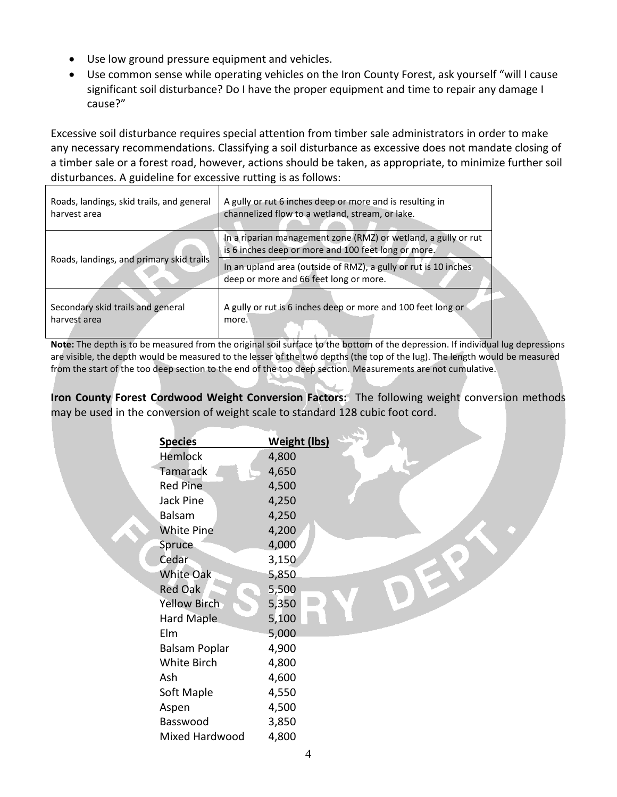- Use low ground pressure equipment and vehicles.
- Use common sense while operating vehicles on the Iron County Forest, ask yourself "will I cause significant soil disturbance? Do I have the proper equipment and time to repair any damage I cause?"

Excessive soil disturbance requires special attention from timber sale administrators in order to make any necessary recommendations. Classifying a soil disturbance as excessive does not mandate closing of a timber sale or a forest road, however, actions should be taken, as appropriate, to minimize further soil disturbances. A guideline for excessive rutting is as follows:

| Roads, landings, skid trails, and general | A gully or rut 6 inches deep or more and is resulting in                                                              |
|-------------------------------------------|-----------------------------------------------------------------------------------------------------------------------|
| harvest area                              | channelized flow to a wetland, stream, or lake.                                                                       |
| Roads, landings, and primary skid trails  | In a riparian management zone (RMZ) or wetland, a gully or rut<br>is 6 inches deep or more and 100 feet long or more. |
|                                           | In an upland area (outside of RMZ), a gully or rut is 10 inches<br>deep or more and 66 feet long or more.             |
| Secondary skid trails and general         | A gully or rut is 6 inches deep or more and 100 feet long or                                                          |
| harvest area                              | more.                                                                                                                 |

**Note:** The depth is to be measured from the original soil surface to the bottom of the depression. If individual lug depressions are visible, the depth would be measured to the lesser of the two depths (the top of the lug). The length would be measured from the start of the too deep section to the end of the too deep section. Measurements are not cumulative.

**Iron County Forest Cordwood Weight Conversion Factors:** The following weight conversion methods may be used in the conversion of weight scale to standard 128 cubic foot cord.

| <b>Species</b>       | <b>Weight (lbs)</b> |
|----------------------|---------------------|
| <b>Hemlock</b>       | 4,800               |
| Tamarack             | 4,650               |
| <b>Red Pine</b>      | 4,500               |
| Jack Pine            | 4,250               |
| <b>Balsam</b>        | 4,250               |
| <b>White Pine</b>    | 4,200               |
| Spruce               | 4,000               |
| Cedar                | 3,150               |
| <b>White Oak</b>     | 5,850               |
| <b>Red Oak</b>       | 5,500               |
| Yellow Birch         | 5,350               |
| Hard Maple           | 5,100               |
| Elm                  | 5,000               |
| <b>Balsam Poplar</b> | 4,900               |
| White Birch          | 4,800               |
| Ash                  | 4,600               |
| Soft Maple           | 4,550               |
| Aspen                | 4,500               |
| Basswood             | 3,850               |
| Mixed Hardwood       | 4,800               |
|                      |                     |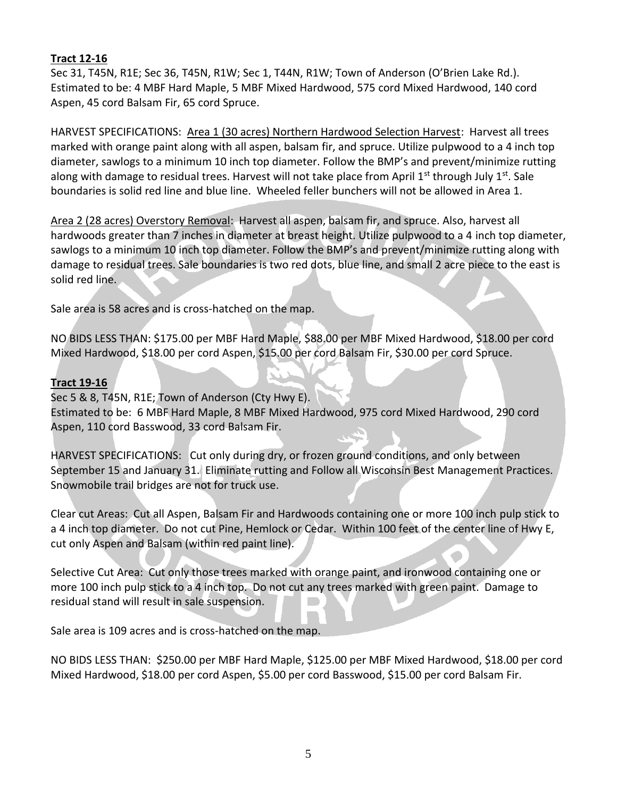## **Tract 12-16**

Sec 31, T45N, R1E; Sec 36, T45N, R1W; Sec 1, T44N, R1W; Town of Anderson (O'Brien Lake Rd.). Estimated to be: 4 MBF Hard Maple, 5 MBF Mixed Hardwood, 575 cord Mixed Hardwood, 140 cord Aspen, 45 cord Balsam Fir, 65 cord Spruce.

HARVEST SPECIFICATIONS: Area 1 (30 acres) Northern Hardwood Selection Harvest: Harvest all trees marked with orange paint along with all aspen, balsam fir, and spruce. Utilize pulpwood to a 4 inch top diameter, sawlogs to a minimum 10 inch top diameter. Follow the BMP's and prevent/minimize rutting along with damage to residual trees. Harvest will not take place from April  $1<sup>st</sup>$  through July  $1<sup>st</sup>$ . Sale boundaries is solid red line and blue line. Wheeled feller bunchers will not be allowed in Area 1.

Area 2 (28 acres) Overstory Removal: Harvest all aspen, balsam fir, and spruce. Also, harvest all hardwoods greater than 7 inches in diameter at breast height. Utilize pulpwood to a 4 inch top diameter, sawlogs to a minimum 10 inch top diameter. Follow the BMP's and prevent/minimize rutting along with damage to residual trees. Sale boundaries is two red dots, blue line, and small 2 acre piece to the east is solid red line.

Sale area is 58 acres and is cross-hatched on the map.

NO BIDS LESS THAN: \$175.00 per MBF Hard Maple, \$88.00 per MBF Mixed Hardwood, \$18.00 per cord Mixed Hardwood, \$18.00 per cord Aspen, \$15.00 per cord Balsam Fir, \$30.00 per cord Spruce.

## **Tract 19-16**

Sec 5 & 8, T45N, R1E; Town of Anderson (Cty Hwy E). Estimated to be: 6 MBF Hard Maple, 8 MBF Mixed Hardwood, 975 cord Mixed Hardwood, 290 cord Aspen, 110 cord Basswood, 33 cord Balsam Fir.

HARVEST SPECIFICATIONS: Cut only during dry, or frozen ground conditions, and only between September 15 and January 31. Eliminate rutting and Follow all Wisconsin Best Management Practices. Snowmobile trail bridges are not for truck use.

Clear cut Areas: Cut all Aspen, Balsam Fir and Hardwoods containing one or more 100 inch pulp stick to a 4 inch top diameter. Do not cut Pine, Hemlock or Cedar. Within 100 feet of the center line of Hwy E, cut only Aspen and Balsam (within red paint line).

Selective Cut Area: Cut only those trees marked with orange paint, and ironwood containing one or more 100 inch pulp stick to a 4 inch top. Do not cut any trees marked with green paint. Damage to residual stand will result in sale suspension.

Sale area is 109 acres and is cross-hatched on the map.

NO BIDS LESS THAN: \$250.00 per MBF Hard Maple, \$125.00 per MBF Mixed Hardwood, \$18.00 per cord Mixed Hardwood, \$18.00 per cord Aspen, \$5.00 per cord Basswood, \$15.00 per cord Balsam Fir.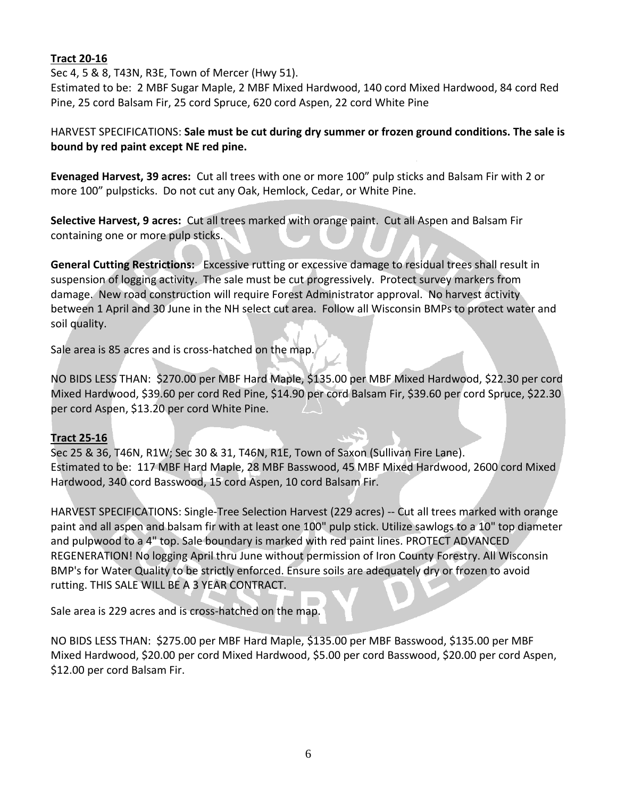## **Tract 20-16**

Sec 4, 5 & 8, T43N, R3E, Town of Mercer (Hwy 51).

Estimated to be: 2 MBF Sugar Maple, 2 MBF Mixed Hardwood, 140 cord Mixed Hardwood, 84 cord Red Pine, 25 cord Balsam Fir, 25 cord Spruce, 620 cord Aspen, 22 cord White Pine

## HARVEST SPECIFICATIONS: **Sale must be cut during dry summer or frozen ground conditions. The sale is bound by red paint except NE red pine.**

**Evenaged Harvest, 39 acres:** Cut all trees with one or more 100" pulp sticks and Balsam Fir with 2 or more 100" pulpsticks. Do not cut any Oak, Hemlock, Cedar, or White Pine.

**Selective Harvest, 9 acres:** Cut all trees marked with orange paint. Cut all Aspen and Balsam Fir containing one or more pulp sticks.

**General Cutting Restrictions:** Excessive rutting or excessive damage to residual trees shall result in suspension of logging activity. The sale must be cut progressively. Protect survey markers from damage. New road construction will require Forest Administrator approval. No harvest activity between 1 April and 30 June in the NH select cut area. Follow all Wisconsin BMPs to protect water and soil quality.

Sale area is 85 acres and is cross-hatched on the map.

NO BIDS LESS THAN: \$270.00 per MBF Hard Maple, \$135.00 per MBF Mixed Hardwood, \$22.30 per cord Mixed Hardwood, \$39.60 per cord Red Pine, \$14.90 per cord Balsam Fir, \$39.60 per cord Spruce, \$22.30 per cord Aspen, \$13.20 per cord White Pine.

## **Tract 25-16**

Sec 25 & 36, T46N, R1W; Sec 30 & 31, T46N, R1E, Town of Saxon (Sullivan Fire Lane). Estimated to be: 117 MBF Hard Maple, 28 MBF Basswood, 45 MBF Mixed Hardwood, 2600 cord Mixed Hardwood, 340 cord Basswood, 15 cord Aspen, 10 cord Balsam Fir.

HARVEST SPECIFICATIONS: Single-Tree Selection Harvest (229 acres) -- Cut all trees marked with orange paint and all aspen and balsam fir with at least one 100" pulp stick. Utilize sawlogs to a 10" top diameter and pulpwood to a 4" top. Sale boundary is marked with red paint lines. PROTECT ADVANCED REGENERATION! No logging April thru June without permission of Iron County Forestry. All Wisconsin BMP's for Water Quality to be strictly enforced. Ensure soils are adequately dry or frozen to avoid rutting. THIS SALE WILL BE A 3 YEAR CONTRACT.

Sale area is 229 acres and is cross-hatched on the map.

NO BIDS LESS THAN: \$275.00 per MBF Hard Maple, \$135.00 per MBF Basswood, \$135.00 per MBF Mixed Hardwood, \$20.00 per cord Mixed Hardwood, \$5.00 per cord Basswood, \$20.00 per cord Aspen, \$12.00 per cord Balsam Fir.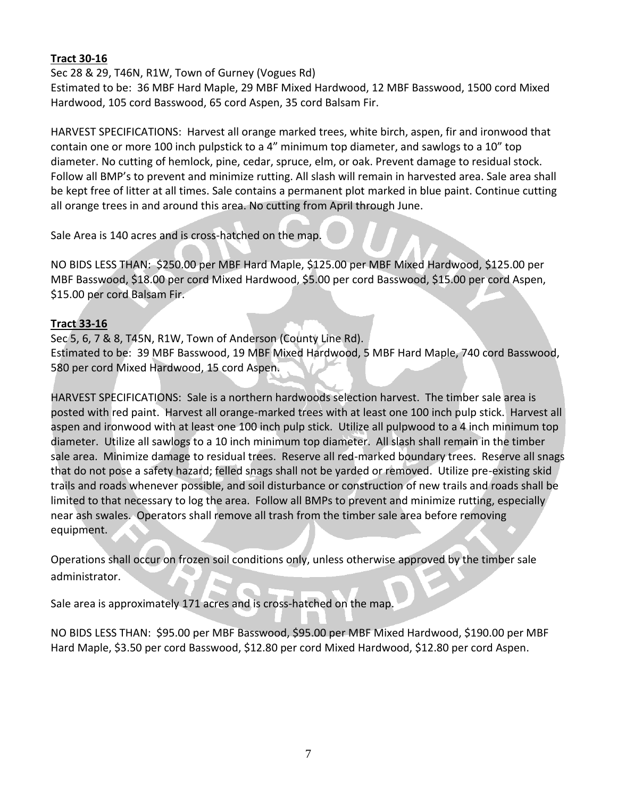## **Tract 30-16**

#### Sec 28 & 29, T46N, R1W, Town of Gurney (Vogues Rd)

Estimated to be: 36 MBF Hard Maple, 29 MBF Mixed Hardwood, 12 MBF Basswood, 1500 cord Mixed Hardwood, 105 cord Basswood, 65 cord Aspen, 35 cord Balsam Fir.

HARVEST SPECIFICATIONS: Harvest all orange marked trees, white birch, aspen, fir and ironwood that contain one or more 100 inch pulpstick to a 4" minimum top diameter, and sawlogs to a 10" top diameter. No cutting of hemlock, pine, cedar, spruce, elm, or oak. Prevent damage to residual stock. Follow all BMP's to prevent and minimize rutting. All slash will remain in harvested area. Sale area shall be kept free of litter at all times. Sale contains a permanent plot marked in blue paint. Continue cutting all orange trees in and around this area. No cutting from April through June.

Sale Area is 140 acres and is cross-hatched on the map.

NO BIDS LESS THAN: \$250.00 per MBF Hard Maple, \$125.00 per MBF Mixed Hardwood, \$125.00 per MBF Basswood, \$18.00 per cord Mixed Hardwood, \$5.00 per cord Basswood, \$15.00 per cord Aspen, \$15.00 per cord Balsam Fir.

## **Tract 33-16**

Sec 5, 6, 7 & 8, T45N, R1W, Town of Anderson (County Line Rd). Estimated to be: 39 MBF Basswood, 19 MBF Mixed Hardwood, 5 MBF Hard Maple, 740 cord Basswood, 580 per cord Mixed Hardwood, 15 cord Aspen.

HARVEST SPECIFICATIONS: Sale is a northern hardwoods selection harvest. The timber sale area is posted with red paint. Harvest all orange-marked trees with at least one 100 inch pulp stick. Harvest all aspen and ironwood with at least one 100 inch pulp stick. Utilize all pulpwood to a 4 inch minimum top diameter. Utilize all sawlogs to a 10 inch minimum top diameter. All slash shall remain in the timber sale area. Minimize damage to residual trees. Reserve all red-marked boundary trees. Reserve all snags that do not pose a safety hazard; felled snags shall not be yarded or removed. Utilize pre-existing skid trails and roads whenever possible, and soil disturbance or construction of new trails and roads shall be limited to that necessary to log the area. Follow all BMPs to prevent and minimize rutting, especially near ash swales. Operators shall remove all trash from the timber sale area before removing equipment.

Operations shall occur on frozen soil conditions only, unless otherwise approved by the timber sale administrator.

Sale area is approximately 171 acres and is cross-hatched on the map.

NO BIDS LESS THAN: \$95.00 per MBF Basswood, \$95.00 per MBF Mixed Hardwood, \$190.00 per MBF Hard Maple, \$3.50 per cord Basswood, \$12.80 per cord Mixed Hardwood, \$12.80 per cord Aspen.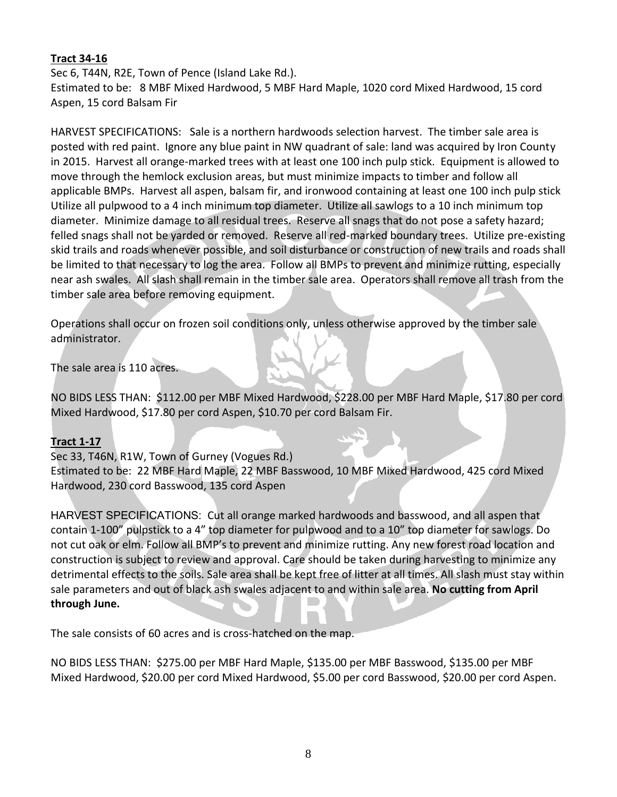## **Tract 34-16**

Sec 6, T44N, R2E, Town of Pence (Island Lake Rd.). Estimated to be: 8 MBF Mixed Hardwood, 5 MBF Hard Maple, 1020 cord Mixed Hardwood, 15 cord Aspen, 15 cord Balsam Fir

HARVEST SPECIFICATIONS: Sale is a northern hardwoods selection harvest. The timber sale area is posted with red paint. Ignore any blue paint in NW quadrant of sale: land was acquired by Iron County in 2015. Harvest all orange-marked trees with at least one 100 inch pulp stick. Equipment is allowed to move through the hemlock exclusion areas, but must minimize impacts to timber and follow all applicable BMPs. Harvest all aspen, balsam fir, and ironwood containing at least one 100 inch pulp stick Utilize all pulpwood to a 4 inch minimum top diameter. Utilize all sawlogs to a 10 inch minimum top diameter. Minimize damage to all residual trees. Reserve all snags that do not pose a safety hazard; felled snags shall not be yarded or removed. Reserve all red-marked boundary trees. Utilize pre-existing skid trails and roads whenever possible, and soil disturbance or construction of new trails and roads shall be limited to that necessary to log the area. Follow all BMPs to prevent and minimize rutting, especially near ash swales. All slash shall remain in the timber sale area. Operators shall remove all trash from the timber sale area before removing equipment.

Operations shall occur on frozen soil conditions only, unless otherwise approved by the timber sale administrator.

The sale area is 110 acres.

NO BIDS LESS THAN: \$112.00 per MBF Mixed Hardwood, \$228.00 per MBF Hard Maple, \$17.80 per cord Mixed Hardwood, \$17.80 per cord Aspen, \$10.70 per cord Balsam Fir.

#### **Tract 1-17**

Sec 33, T46N, R1W, Town of Gurney (Vogues Rd.) Estimated to be: 22 MBF Hard Maple, 22 MBF Basswood, 10 MBF Mixed Hardwood, 425 cord Mixed Hardwood, 230 cord Basswood, 135 cord Aspen

HARVEST SPECIFICATIONS: Cut all orange marked hardwoods and basswood, and all aspen that contain 1-100" pulpstick to a 4" top diameter for pulpwood and to a 10" top diameter for sawlogs. Do not cut oak or elm. Follow all BMP's to prevent and minimize rutting. Any new forest road location and construction is subject to review and approval. Care should be taken during harvesting to minimize any detrimental effects to the soils. Sale area shall be kept free of litter at all times. All slash must stay within sale parameters and out of black ash swales adjacent to and within sale area. **No cutting from April through June.**

The sale consists of 60 acres and is cross-hatched on the map.

NO BIDS LESS THAN: \$275.00 per MBF Hard Maple, \$135.00 per MBF Basswood, \$135.00 per MBF Mixed Hardwood, \$20.00 per cord Mixed Hardwood, \$5.00 per cord Basswood, \$20.00 per cord Aspen.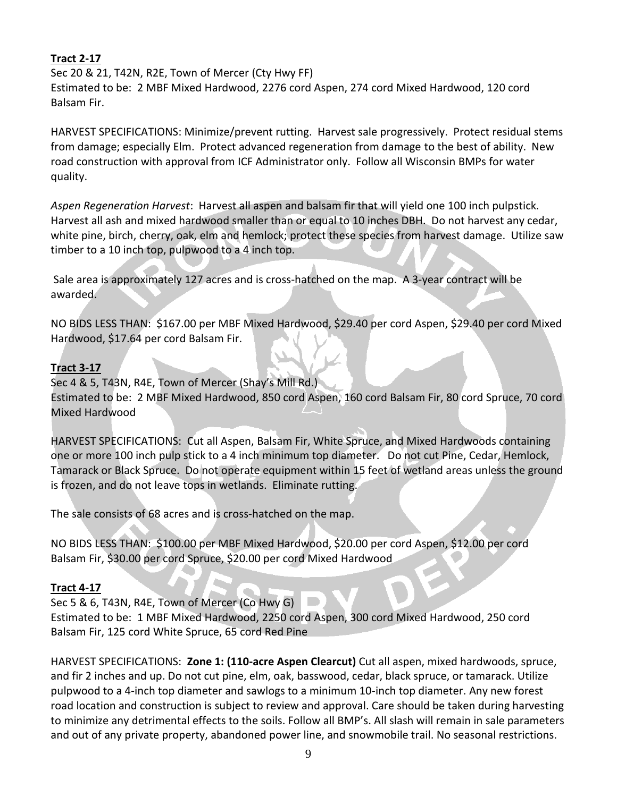## **Tract 2-17**

Sec 20 & 21, T42N, R2E, Town of Mercer (Cty Hwy FF) Estimated to be: 2 MBF Mixed Hardwood, 2276 cord Aspen, 274 cord Mixed Hardwood, 120 cord Balsam Fir.

HARVEST SPECIFICATIONS: Minimize/prevent rutting. Harvest sale progressively. Protect residual stems from damage; especially Elm. Protect advanced regeneration from damage to the best of ability. New road construction with approval from ICF Administrator only. Follow all Wisconsin BMPs for water quality.

*Aspen Regeneration Harvest*: Harvest all aspen and balsam fir that will yield one 100 inch pulpstick. Harvest all ash and mixed hardwood smaller than or equal to 10 inches DBH. Do not harvest any cedar, white pine, birch, cherry, oak, elm and hemlock; protect these species from harvest damage. Utilize saw timber to a 10 inch top, pulpwood to a 4 inch top.

Sale area is approximately 127 acres and is cross-hatched on the map. A 3-year contract will be awarded.

NO BIDS LESS THAN: \$167.00 per MBF Mixed Hardwood, \$29.40 per cord Aspen, \$29.40 per cord Mixed Hardwood, \$17.64 per cord Balsam Fir.

## **Tract 3-17**

Sec 4 & 5, T43N, R4E, Town of Mercer (Shay's Mill Rd.) Estimated to be: 2 MBF Mixed Hardwood, 850 cord Aspen, 160 cord Balsam Fir, 80 cord Spruce, 70 cord Mixed Hardwood

HARVEST SPECIFICATIONS: Cut all Aspen, Balsam Fir, White Spruce, and Mixed Hardwoods containing one or more 100 inch pulp stick to a 4 inch minimum top diameter. Do not cut Pine, Cedar, Hemlock, Tamarack or Black Spruce. Do not operate equipment within 15 feet of wetland areas unless the ground is frozen, and do not leave tops in wetlands. Eliminate rutting.

The sale consists of 68 acres and is cross-hatched on the map.

NO BIDS LESS THAN: \$100.00 per MBF Mixed Hardwood, \$20.00 per cord Aspen, \$12.00 per cord Balsam Fir, \$30.00 per cord Spruce, \$20.00 per cord Mixed Hardwood

## **Tract 4-17**

Sec 5 & 6, T43N, R4E, Town of Mercer (Co Hwy G)

Estimated to be: 1 MBF Mixed Hardwood, 2250 cord Aspen, 300 cord Mixed Hardwood, 250 cord Balsam Fir, 125 cord White Spruce, 65 cord Red Pine

HARVEST SPECIFICATIONS: **Zone 1: (110-acre Aspen Clearcut)** Cut all aspen, mixed hardwoods, spruce, and fir 2 inches and up. Do not cut pine, elm, oak, basswood, cedar, black spruce, or tamarack. Utilize pulpwood to a 4-inch top diameter and sawlogs to a minimum 10-inch top diameter. Any new forest road location and construction is subject to review and approval. Care should be taken during harvesting to minimize any detrimental effects to the soils. Follow all BMP's. All slash will remain in sale parameters and out of any private property, abandoned power line, and snowmobile trail. No seasonal restrictions.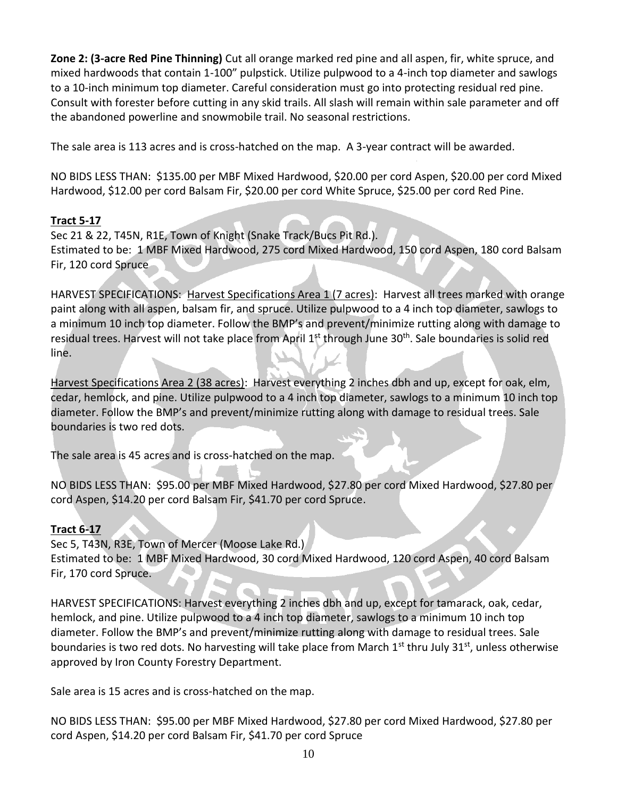**Zone 2: (3-acre Red Pine Thinning)** Cut all orange marked red pine and all aspen, fir, white spruce, and mixed hardwoods that contain 1-100" pulpstick. Utilize pulpwood to a 4-inch top diameter and sawlogs to a 10-inch minimum top diameter. Careful consideration must go into protecting residual red pine. Consult with forester before cutting in any skid trails. All slash will remain within sale parameter and off the abandoned powerline and snowmobile trail. No seasonal restrictions.

The sale area is 113 acres and is cross-hatched on the map. A 3-year contract will be awarded.

NO BIDS LESS THAN: \$135.00 per MBF Mixed Hardwood, \$20.00 per cord Aspen, \$20.00 per cord Mixed Hardwood, \$12.00 per cord Balsam Fir, \$20.00 per cord White Spruce, \$25.00 per cord Red Pine.

# **Tract 5-17**

Sec 21 & 22, T45N, R1E, Town of Knight (Snake Track/Bucs Pit Rd.). Estimated to be: 1 MBF Mixed Hardwood, 275 cord Mixed Hardwood, 150 cord Aspen, 180 cord Balsam Fir, 120 cord Spruce

HARVEST SPECIFICATIONS: Harvest Specifications Area 1 (7 acres): Harvest all trees marked with orange paint along with all aspen, balsam fir, and spruce. Utilize pulpwood to a 4 inch top diameter, sawlogs to a minimum 10 inch top diameter. Follow the BMP's and prevent/minimize rutting along with damage to residual trees. Harvest will not take place from April 1<sup>st</sup> through June 30<sup>th</sup>. Sale boundaries is solid red line.

Harvest Specifications Area 2 (38 acres): Harvest everything 2 inches dbh and up, except for oak, elm, cedar, hemlock, and pine. Utilize pulpwood to a 4 inch top diameter, sawlogs to a minimum 10 inch top diameter. Follow the BMP's and prevent/minimize rutting along with damage to residual trees. Sale boundaries is two red dots.

The sale area is 45 acres and is cross-hatched on the map.

NO BIDS LESS THAN: \$95.00 per MBF Mixed Hardwood, \$27.80 per cord Mixed Hardwood, \$27.80 per cord Aspen, \$14.20 per cord Balsam Fir, \$41.70 per cord Spruce.

# **Tract 6-17**

Sec 5, T43N, R3E, Town of Mercer (Moose Lake Rd.) Estimated to be: 1 MBF Mixed Hardwood, 30 cord Mixed Hardwood, 120 cord Aspen, 40 cord Balsam Fir, 170 cord Spruce.

HARVEST SPECIFICATIONS: Harvest everything 2 inches dbh and up, except for tamarack, oak, cedar, hemlock, and pine. Utilize pulpwood to a 4 inch top diameter, sawlogs to a minimum 10 inch top diameter. Follow the BMP's and prevent/minimize rutting along with damage to residual trees. Sale boundaries is two red dots. No harvesting will take place from March 1<sup>st</sup> thru July 31<sup>st</sup>, unless otherwise approved by Iron County Forestry Department.

Sale area is 15 acres and is cross-hatched on the map.

NO BIDS LESS THAN: \$95.00 per MBF Mixed Hardwood, \$27.80 per cord Mixed Hardwood, \$27.80 per cord Aspen, \$14.20 per cord Balsam Fir, \$41.70 per cord Spruce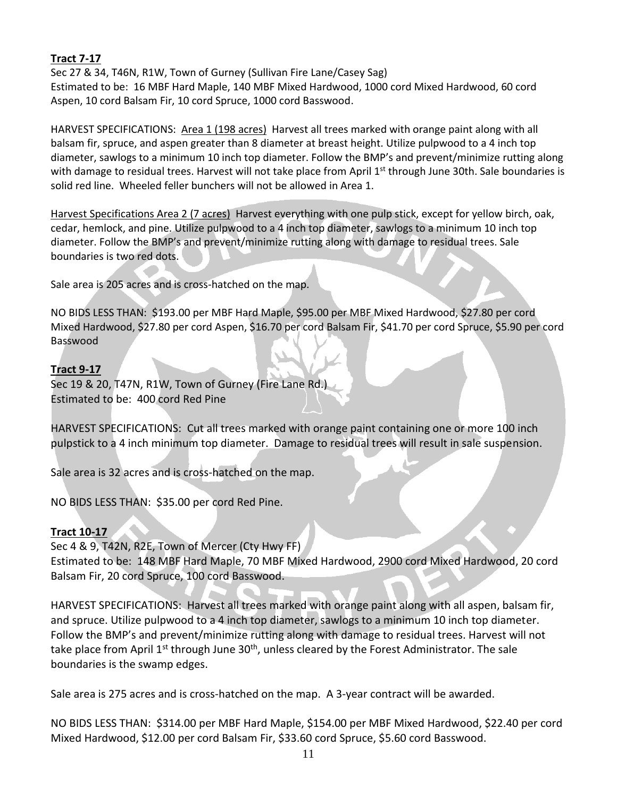## **Tract 7-17**

Sec 27 & 34, T46N, R1W, Town of Gurney (Sullivan Fire Lane/Casey Sag) Estimated to be: 16 MBF Hard Maple, 140 MBF Mixed Hardwood, 1000 cord Mixed Hardwood, 60 cord Aspen, 10 cord Balsam Fir, 10 cord Spruce, 1000 cord Basswood.

HARVEST SPECIFICATIONS: Area 1 (198 acres) Harvest all trees marked with orange paint along with all balsam fir, spruce, and aspen greater than 8 diameter at breast height. Utilize pulpwood to a 4 inch top diameter, sawlogs to a minimum 10 inch top diameter. Follow the BMP's and prevent/minimize rutting along with damage to residual trees. Harvest will not take place from April 1<sup>st</sup> through June 30th. Sale boundaries is solid red line. Wheeled feller bunchers will not be allowed in Area 1.

Harvest Specifications Area 2 (7 acres) Harvest everything with one pulp stick, except for yellow birch, oak, cedar, hemlock, and pine. Utilize pulpwood to a 4 inch top diameter, sawlogs to a minimum 10 inch top diameter. Follow the BMP's and prevent/minimize rutting along with damage to residual trees. Sale boundaries is two red dots.

Sale area is 205 acres and is cross-hatched on the map.

NO BIDS LESS THAN: \$193.00 per MBF Hard Maple, \$95.00 per MBF Mixed Hardwood, \$27.80 per cord Mixed Hardwood, \$27.80 per cord Aspen, \$16.70 per cord Balsam Fir, \$41.70 per cord Spruce, \$5.90 per cord Basswood

## **Tract 9-17**

Sec 19 & 20, T47N, R1W, Town of Gurney (Fire Lane Rd.) Estimated to be: 400 cord Red Pine

HARVEST SPECIFICATIONS: Cut all trees marked with orange paint containing one or more 100 inch pulpstick to a 4 inch minimum top diameter. Damage to residual trees will result in sale suspension.

Sale area is 32 acres and is cross-hatched on the map.

NO BIDS LESS THAN: \$35.00 per cord Red Pine.

## **Tract 10-17**

Sec 4 & 9, T42N, R2E, Town of Mercer (Cty Hwy FF)

Estimated to be: 148 MBF Hard Maple, 70 MBF Mixed Hardwood, 2900 cord Mixed Hardwood, 20 cord Balsam Fir, 20 cord Spruce, 100 cord Basswood.

HARVEST SPECIFICATIONS: Harvest all trees marked with orange paint along with all aspen, balsam fir, and spruce. Utilize pulpwood to a 4 inch top diameter, sawlogs to a minimum 10 inch top diameter. Follow the BMP's and prevent/minimize rutting along with damage to residual trees. Harvest will not take place from April  $1^{st}$  through June  $30^{th}$ , unless cleared by the Forest Administrator. The sale boundaries is the swamp edges.

Sale area is 275 acres and is cross-hatched on the map. A 3-year contract will be awarded.

NO BIDS LESS THAN: \$314.00 per MBF Hard Maple, \$154.00 per MBF Mixed Hardwood, \$22.40 per cord Mixed Hardwood, \$12.00 per cord Balsam Fir, \$33.60 cord Spruce, \$5.60 cord Basswood.